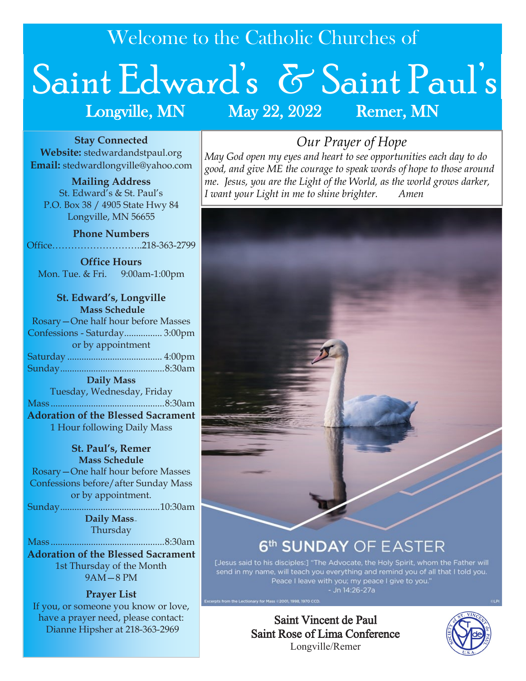Welcome to the Catholic Churches of

# Saint Edward's & Saint Paul's Longville, MN May 22, 2022 Remer, MN

**Stay Connected Website:** stedwardandstpaul.org **Email:** stedwardlongville@yahoo.com

**Mailing Address** St. Edward's & St. Paul's P.O. Box 38 / 4905 State Hwy 84 Longville, MN 56655

**Phone Numbers** Office………………………..218-363-2799

**Office Hours** Mon. Tue. & Fri. 9:00am-1:00pm

**St. Edward's, Longville Mass Schedule** Rosary—One half hour before Masses Confessions - Saturday................ 3:00pm or by appointment Saturday ........................................ 4:00pm Sunday............................................8:30am **Daily Mass** Tuesday, Wednesday, Friday Mass ................................................8:30am **Adoration of the Blessed Sacrament**

1 Hour following Daily Mass

#### **St. Paul's, Remer Mass Schedule**

Rosary—One half hour before Masses Confessions before/after Sunday Mass or by appointment.

Sunday..........................................10:30am

**Daily Mass—** Thursday

Mass ................................................8:30am

**Adoration of the Blessed Sacrament**  1st Thursday of the Month 9AM—8 PM

## **Prayer List**

If you, or someone you know or love, have a prayer need, please contact: Dianne Hipsher at 218-363-2969

# *Our Prayer of Hope*

*May God open my eyes and heart to see opportunities each day to do good, and give ME the courage to speak words of hope to those around me. Jesus, you are the Light of the World, as the world grows darker, I want your Light in me to shine brighter. Amen*



# 6<sup>th</sup> SUNDAY OF EASTER

[Jesus said to his disciples:] "The Advocate, the Holy Spirit, whom the Father will<br>send in my name, will teach you everything and remind you of all that I told you. Peace I leave with you; my peace I give to you."<br>- Jn 14:26-27a

Saint Vincent de Paul Saint Rose of Lima Conference Longville/Remer

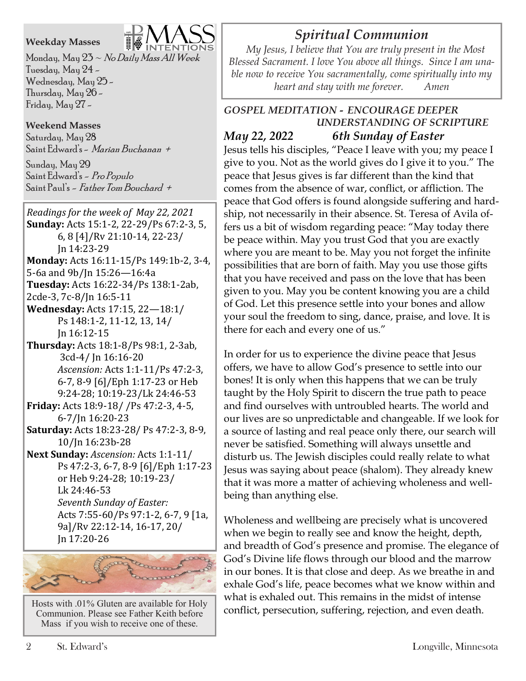#### **Weekday Masses**

Monday, May  $23 \sim$  No Daily Mass All Week Tuesday, May 24 - Wednesday, May 25 - Thursday, May 26 - Friday, May 27 -

**Weekend Masses** Saturday, May 28 Saint Edward's - *Marian Buchanan* +

Sunday, May 29 Saint Edward's - Pro Populo Saint Paul's – *Father Tom Bouchard +* 

*Readings for the week of May 22, 2021* **Sunday:** Acts 15:1-2, 22-29/Ps 67:2-3, 5, 6, 8 [4]/Rv 21:10-14, 22-23/ Jn 14:23-29 **Monday:** Acts 16:11-15/Ps 149:1b-2, 3-4, 5-6a and 9b/Jn 15:26—16:4a **Tuesday:** Acts 16:22-34/Ps 138:1-2ab, 2cde-3, 7c-8/Jn 16:5-11 **Wednesday:** Acts 17:15, 22—18:1/ Ps 148:1-2, 11-12, 13, 14/ Jn 16:12-15 **Thursday:** Acts 18:1-8/Ps 98:1, 2-3ab, 3cd-4/ Jn 16:16-20 *Ascension:* Acts 1:1-11/Ps 47:2-3, 6-7, 8-9 [6]/Eph 1:17-23 or Heb 9:24-28; 10:19-23/Lk 24:46-53 **Friday:** Acts 18:9-18/ /Ps 47:2-3, 4-5, 6-7/Jn 16:20-23 **Saturday:** Acts 18:23-28/ Ps 47:2-3, 8-9, 10/Jn 16:23b-28 **Next Sunday:** *Ascension:* Acts 1:1-11/ Ps 47:2-3, 6-7, 8-9 [6]/Eph 1:17-23 or Heb 9:24-28; 10:19-23/ Lk 24:46-53 *Seventh Sunday of Easter:*  Acts 7:55-60/Ps 97:1-2, 6-7, 9 [1a, 9a]/Rv 22:12-14, 16-17, 20/ Jn 17:20-26



Hosts with .01% Gluten are available for Holy Communion. Please see Father Keith before Mass if you wish to receive one of these.

# *Spiritual Communion*

 *My Jesus, I believe that You are truly present in the Most Blessed Sacrament. I love You above all things. Since I am unable now to receive You sacramentally, come spiritually into my heart and stay with me forever. Amen*

#### *GOSPEL MEDITATION - ENCOURAGE DEEPER UNDERSTANDING OF SCRIPTURE May 22, 2022 6th Sunday of Easter*

Jesus tells his disciples, "Peace I leave with you; my peace I give to you. Not as the world gives do I give it to you." The peace that Jesus gives is far different than the kind that comes from the absence of war, conflict, or affliction. The peace that God offers is found alongside suffering and hardship, not necessarily in their absence. St. Teresa of Avila offers us a bit of wisdom regarding peace: "May today there be peace within. May you trust God that you are exactly where you are meant to be. May you not forget the infinite possibilities that are born of faith. May you use those gifts that you have received and pass on the love that has been given to you. May you be content knowing you are a child of God. Let this presence settle into your bones and allow your soul the freedom to sing, dance, praise, and love. It is there for each and every one of us."

In order for us to experience the divine peace that Jesus offers, we have to allow God's presence to settle into our bones! It is only when this happens that we can be truly taught by the Holy Spirit to discern the true path to peace and find ourselves with untroubled hearts. The world and our lives are so unpredictable and changeable. If we look for a source of lasting and real peace only there, our search will never be satisfied. Something will always unsettle and disturb us. The Jewish disciples could really relate to what Jesus was saying about peace (shalom). They already knew that it was more a matter of achieving wholeness and wellbeing than anything else.

Wholeness and wellbeing are precisely what is uncovered when we begin to really see and know the height, depth, and breadth of God's presence and promise. The elegance of God's Divine life flows through our blood and the marrow in our bones. It is that close and deep. As we breathe in and exhale God's life, peace becomes what we know within and what is exhaled out. This remains in the midst of intense conflict, persecution, suffering, rejection, and even death.